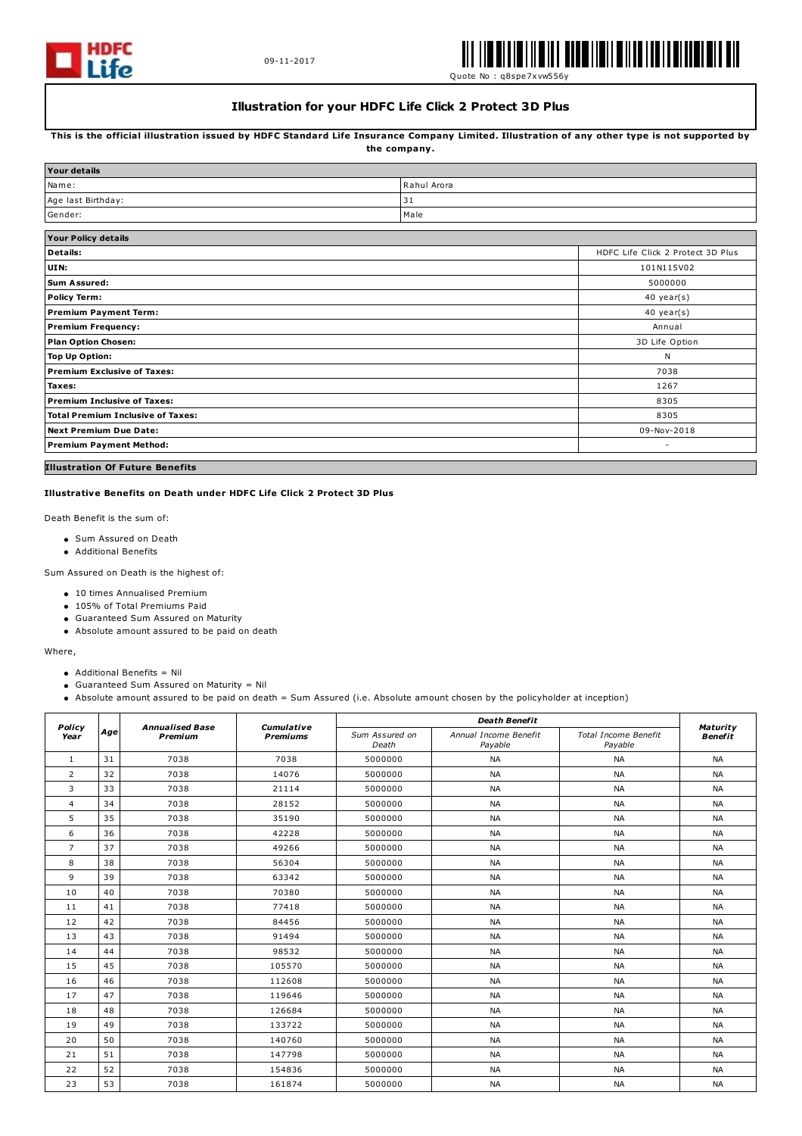



Quote No : q8spe7xvw556y

## **Illustration for your HDFC Life Click 2 Protect 3D Plus**

This is the official illustration issued by HDFC Standard Life Insurance Company Limited. Illustration of any other type is not supported by **the company.**

| <b>Your details</b>                      |                                   |                |  |  |
|------------------------------------------|-----------------------------------|----------------|--|--|
| Name:                                    | Rahul Arora                       |                |  |  |
| Age last Birthday:                       | 31                                |                |  |  |
| Gender:                                  | Male                              |                |  |  |
| <b>Your Policy details</b>               |                                   |                |  |  |
| <b>Details:</b>                          | HDFC Life Click 2 Protect 3D Plus |                |  |  |
| UIN:                                     | 101N115V02                        |                |  |  |
| <b>Sum Assured:</b>                      |                                   | 5000000        |  |  |
| <b>Policy Term:</b>                      |                                   | 40 year(s)     |  |  |
| <b>Premium Payment Term:</b>             | $40$ year(s)                      |                |  |  |
| <b>Premium Frequency:</b>                |                                   | Annual         |  |  |
| <b>Plan Option Chosen:</b>               |                                   | 3D Life Option |  |  |
| <b>Top Up Option:</b>                    |                                   | N              |  |  |
| <b>Premium Exclusive of Taxes:</b>       |                                   | 7038           |  |  |
| Taxes:                                   |                                   | 1267           |  |  |
| Premium Inclusive of Taxes:              |                                   | 8305           |  |  |
| <b>Total Premium Inclusive of Taxes:</b> |                                   | 8305           |  |  |
| <b>Next Premium Due Date:</b>            |                                   | 09-Nov-2018    |  |  |
| <b>Premium Payment Method:</b>           |                                   | ٠              |  |  |
|                                          |                                   |                |  |  |

# **Illustration Of Future Benefits**

## **Illustrative Benefits on Death under HDFC Life Click 2 Protect 3D Plus**

Death Benefit is the sum of:

- Sum Assured on Death
- Additional Benefits

Sum Assured on Death is the highest of:

- 10 times Annualised Premium
- 105% of Total Premiums Paid
- Guaranteed Sum Assured on Maturity
- Absolute amount assured to be paid on death

#### Where,

- Additional Benefits = Nil
- Guaranteed Sum Assured on Maturity = Nil
- Absolute amount assured to be paid on death = Sum Assured (i.e. Absolute amount chosen by the policyholder at inception)

| Policy<br>Year |     | <b>Annualised Base</b><br>Premium | Cumulative<br><b>Premiums</b> | <b>Death Benefit</b>    |                                  |                                        |                            |
|----------------|-----|-----------------------------------|-------------------------------|-------------------------|----------------------------------|----------------------------------------|----------------------------|
|                | Age |                                   |                               | Sum Assured on<br>Death | Annual Income Benefit<br>Payable | <b>Total Income Benefit</b><br>Payable | Maturity<br><b>Benefit</b> |
| 1              | 31  | 7038                              | 7038                          | 5000000                 | <b>NA</b>                        | <b>NA</b>                              | <b>NA</b>                  |
| $\overline{2}$ | 32  | 7038                              | 14076                         | 5000000                 | <b>NA</b>                        | <b>NA</b>                              | <b>NA</b>                  |
| 3              | 33  | 7038                              | 21114                         | 5000000                 | <b>NA</b>                        | <b>NA</b>                              | <b>NA</b>                  |
| 4              | 34  | 7038                              | 28152                         | 5000000                 | <b>NA</b>                        | <b>NA</b>                              | <b>NA</b>                  |
| 5              | 35  | 7038                              | 35190                         | 5000000                 | <b>NA</b>                        | <b>NA</b>                              | <b>NA</b>                  |
| 6              | 36  | 7038                              | 42228                         | 5000000                 | <b>NA</b>                        | <b>NA</b>                              | <b>NA</b>                  |
| $\overline{7}$ | 37  | 7038                              | 49266                         | 5000000                 | <b>NA</b>                        | <b>NA</b>                              | <b>NA</b>                  |
| 8              | 38  | 7038                              | 56304                         | 5000000                 | <b>NA</b>                        | <b>NA</b>                              | <b>NA</b>                  |
| 9              | 39  | 7038                              | 63342                         | 5000000                 | <b>NA</b>                        | <b>NA</b>                              | <b>NA</b>                  |
| 10             | 40  | 7038                              | 70380                         | 5000000                 | <b>NA</b>                        | <b>NA</b>                              | <b>NA</b>                  |
| 11             | 41  | 7038                              | 77418                         | 5000000                 | <b>NA</b>                        | <b>NA</b>                              | <b>NA</b>                  |
| 12             | 42  | 7038                              | 84456                         | 5000000                 | <b>NA</b>                        | <b>NA</b>                              | <b>NA</b>                  |
| 13             | 43  | 7038                              | 91494                         | 5000000                 | <b>NA</b>                        | <b>NA</b>                              | <b>NA</b>                  |
| 14             | 44  | 7038                              | 98532                         | 5000000                 | <b>NA</b>                        | <b>NA</b>                              | <b>NA</b>                  |
| 15             | 45  | 7038                              | 105570                        | 5000000                 | <b>NA</b>                        | <b>NA</b>                              | <b>NA</b>                  |
| 16             | 46  | 7038                              | 112608                        | 5000000                 | <b>NA</b>                        | <b>NA</b>                              | <b>NA</b>                  |
| 17             | 47  | 7038                              | 119646                        | 5000000                 | <b>NA</b>                        | <b>NA</b>                              | <b>NA</b>                  |
| 18             | 48  | 7038                              | 126684                        | 5000000                 | <b>NA</b>                        | <b>NA</b>                              | <b>NA</b>                  |
| 19             | 49  | 7038                              | 133722                        | 5000000                 | <b>NA</b>                        | <b>NA</b>                              | <b>NA</b>                  |
| 20             | 50  | 7038                              | 140760                        | 5000000                 | <b>NA</b>                        | <b>NA</b>                              | <b>NA</b>                  |
| 21             | 51  | 7038                              | 147798                        | 5000000                 | <b>NA</b>                        | <b>NA</b>                              | <b>NA</b>                  |
| 22             | 52  | 7038                              | 154836                        | 5000000                 | <b>NA</b>                        | <b>NA</b>                              | <b>NA</b>                  |
| 23             | 53  | 7038                              | 161874                        | 5000000                 | <b>NA</b>                        | <b>NA</b>                              | <b>NA</b>                  |